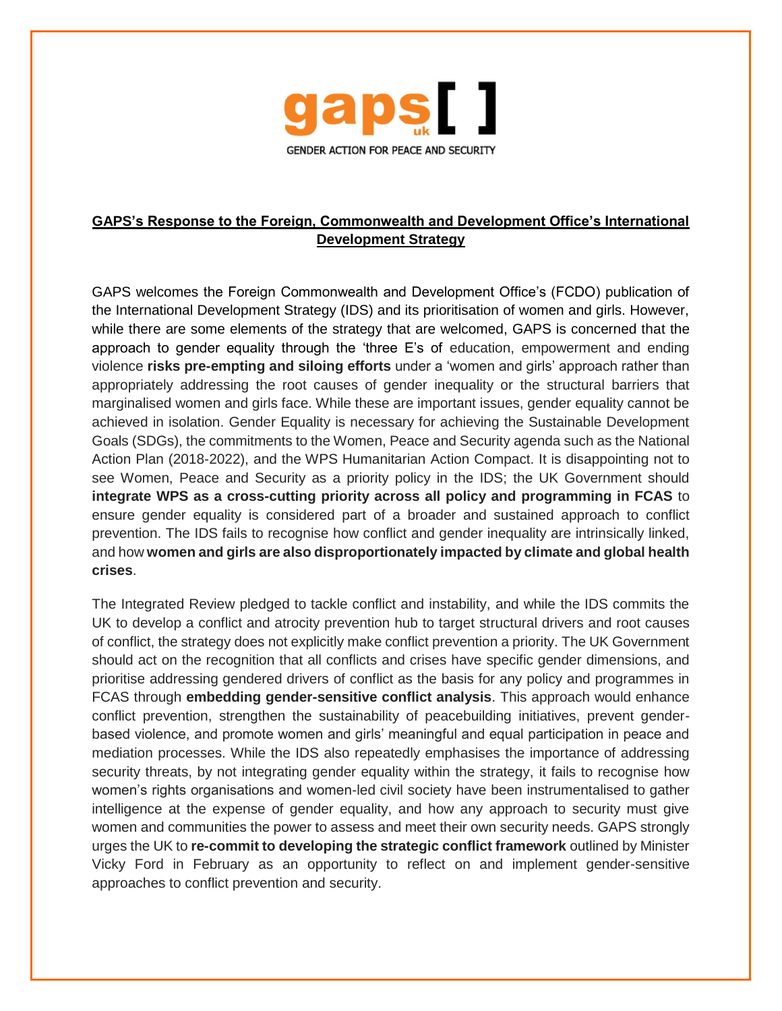

## **GAPS's Response to the Foreign, Commonwealth and Development Office's International Development Strategy**

GAPS welcomes the Foreign Commonwealth and Development Office's (FCDO) publication of the International Development Strategy (IDS) and its prioritisation of women and girls. However, while there are some elements of the strategy that are welcomed, GAPS is concerned that the approach to gender equality through the 'three E's of education, empowerment and ending violence **risks pre-empting and siloing efforts** under a 'women and girls' approach rather than appropriately addressing the root causes of gender inequality or the structural barriers that marginalised women and girls face. While these are important issues, gender equality cannot be achieved in isolation. Gender Equality is necessary for achieving the Sustainable Development Goals (SDGs), the commitments to the Women, Peace and Security agenda such as the National Action Plan (2018-2022), and the WPS Humanitarian Action Compact. It is disappointing not to see Women, Peace and Security as a priority policy in the IDS; the UK Government should **integrate WPS as a cross-cutting priority across all policy and programming in FCAS** to ensure gender equality is considered part of a broader and sustained approach to conflict prevention. The IDS fails to recognise how conflict and gender inequality are intrinsically linked, and how **women and girls are also disproportionately impacted by climate and global health crises**.

The Integrated Review pledged to tackle conflict and instability, and while the IDS commits the UK to develop a conflict and atrocity prevention hub to target structural drivers and root causes of conflict, the strategy does not explicitly make conflict prevention a priority. The UK Government should act on the recognition that all conflicts and crises have specific gender dimensions, and prioritise addressing gendered drivers of conflict as the basis for any policy and programmes in FCAS through **embedding gender-sensitive conflict analysis**. This approach would enhance conflict prevention, strengthen the sustainability of peacebuilding initiatives, prevent genderbased violence, and promote women and girls' meaningful and equal participation in peace and mediation processes. While the IDS also repeatedly emphasises the importance of addressing security threats, by not integrating gender equality within the strategy, it fails to recognise how women's rights organisations and women-led civil society have been instrumentalised to gather intelligence at the expense of gender equality, and how any approach to security must give women and communities the power to assess and meet their own security needs. GAPS strongly urges the UK to **re-commit to developing the strategic conflict framework** outlined by Minister Vicky Ford in February as an opportunity to reflect on and implement gender-sensitive approaches to conflict prevention and security.